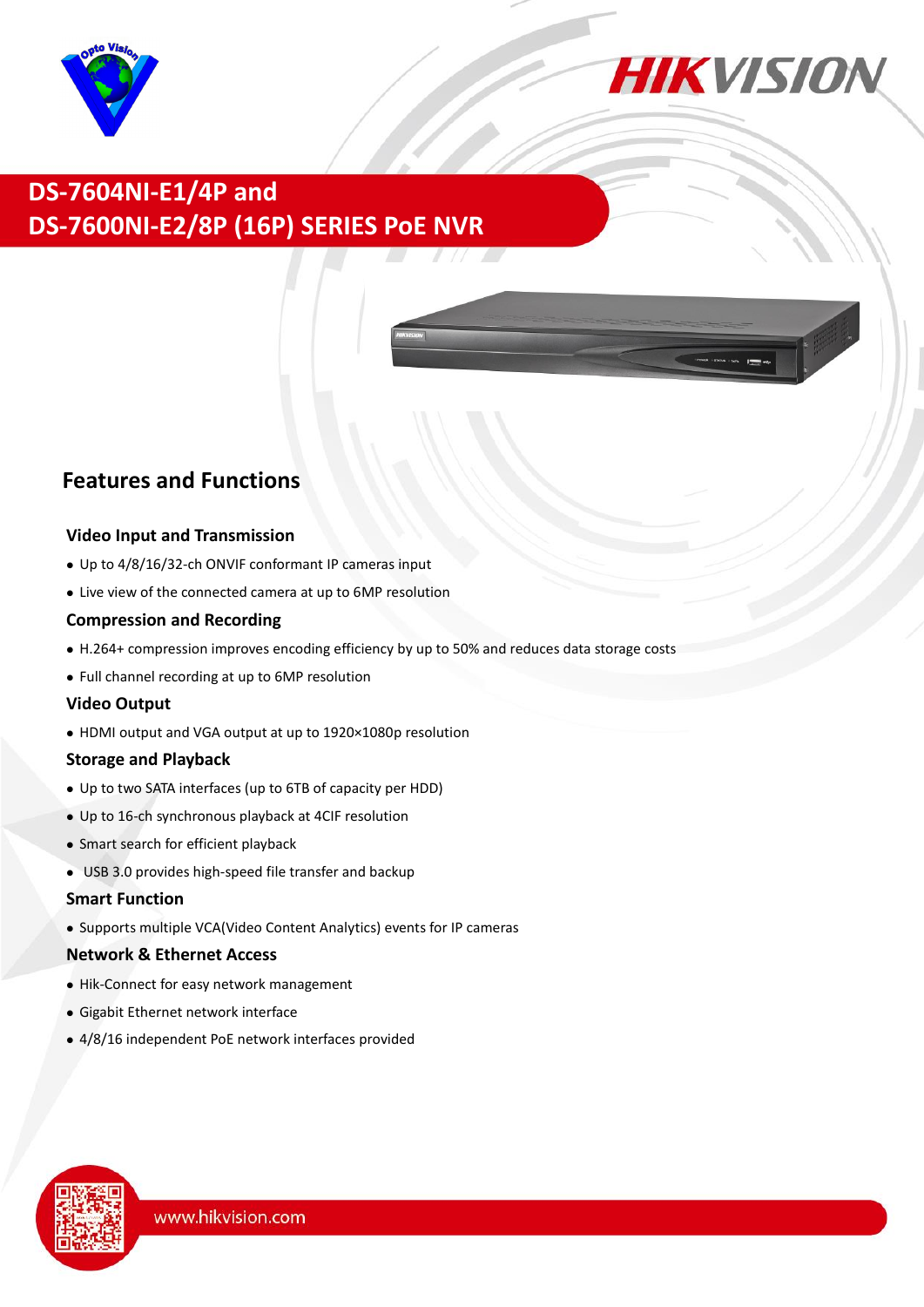



## **DS-7604NI-E1/4P and DS-7600NI-E2/8P (16P) SERIES PoE NVR**



### **Features and Functions**

#### **Video Input and Transmission**

- Up to 4/8/16/32-ch ONVIF conformant IP cameras input
- Live view of the connected camera at up to 6MP resolution

#### **Compression and Recording**

- H.264+ compression improves encoding efficiency by up to 50% and reduces data storage costs
- Full channel recording at up to 6MP resolution

#### **Video Output**

HDMI output and VGA output at up to 1920×1080p resolution

#### **Storage and Playback**

- Up to two SATA interfaces (up to 6TB of capacity per HDD)
- Up to 16-ch synchronous playback at 4CIF resolution
- Smart search for efficient playback
- USB 3.0 provides high-speed file transfer and backup

#### **Smart Function**

Supports multiple VCA(Video Content Analytics) events for IP cameras

#### **Network & Ethernet Access**

- Hik-Connect for easy network management
- Gigabit Ethernet network interface
- 4/8/16 independent PoE network interfaces provided

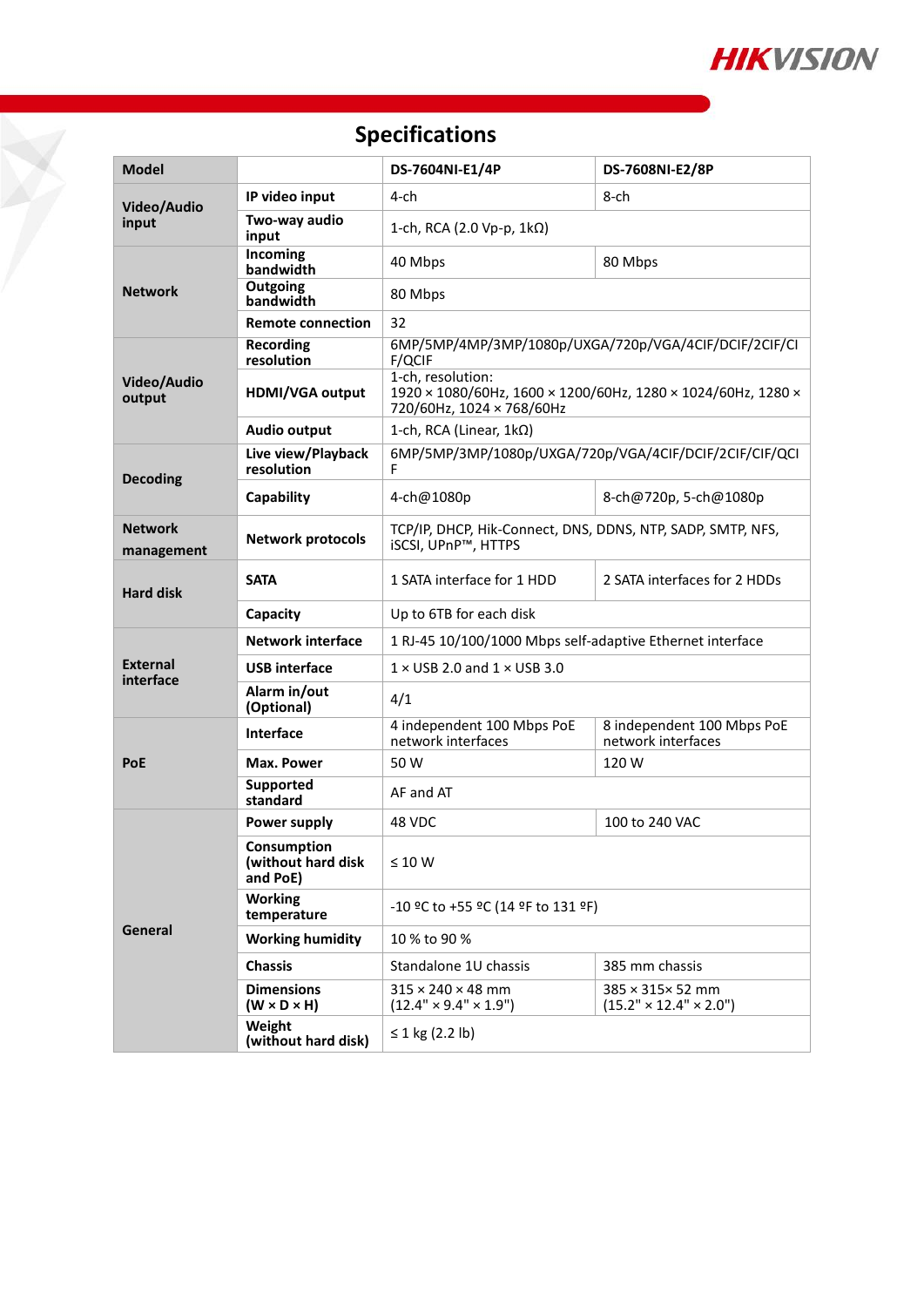

# **Specifications**

T.

| <b>Model</b>                 |                                               | DS-7604NI-E1/4P                                                                                                              | DS-7608NI-E2/8P                                  |  |  |
|------------------------------|-----------------------------------------------|------------------------------------------------------------------------------------------------------------------------------|--------------------------------------------------|--|--|
| Video/Audio                  | IP video input                                | 4-ch                                                                                                                         | 8-ch                                             |  |  |
| input                        | Two-way audio<br>input                        | 1-ch, RCA (2.0 Vp-p, $1k\Omega$ )                                                                                            |                                                  |  |  |
| <b>Network</b>               | Incoming<br>bandwidth                         | 40 Mbps<br>80 Mbps                                                                                                           |                                                  |  |  |
|                              | Outgoing<br>bandwidth                         | 80 Mbps                                                                                                                      |                                                  |  |  |
|                              | <b>Remote connection</b>                      | 32                                                                                                                           |                                                  |  |  |
| Video/Audio<br>output        | <b>Recording</b><br>resolution                | 6MP/5MP/4MP/3MP/1080p/UXGA/720p/VGA/4CIF/DCIF/2CIF/CI<br>F/QCIF                                                              |                                                  |  |  |
|                              | <b>HDMI/VGA output</b>                        | 1-ch, resolution:<br>1920 × 1080/60Hz, 1600 × 1200/60Hz, 1280 × 1024/60Hz, 1280 ×<br>720/60Hz, 1024 × 768/60Hz               |                                                  |  |  |
|                              | <b>Audio output</b>                           | 1-ch, RCA (Linear, 1kΩ)                                                                                                      |                                                  |  |  |
| <b>Decoding</b>              | Live view/Playback<br>resolution              | 6MP/5MP/3MP/1080p/UXGA/720p/VGA/4CIF/DCIF/2CIF/CIF/QCI<br>F                                                                  |                                                  |  |  |
|                              | Capability                                    | 4-ch@1080p                                                                                                                   | 8-ch@720p, 5-ch@1080p                            |  |  |
| <b>Network</b><br>management | <b>Network protocols</b>                      | TCP/IP, DHCP, Hik-Connect, DNS, DDNS, NTP, SADP, SMTP, NFS,<br>iSCSI, UPnP™, HTTPS                                           |                                                  |  |  |
| <b>Hard disk</b>             | <b>SATA</b>                                   | 1 SATA interface for 1 HDD                                                                                                   | 2 SATA interfaces for 2 HDDs                     |  |  |
|                              | Capacity                                      | Up to 6TB for each disk                                                                                                      |                                                  |  |  |
| <b>External</b><br>interface | <b>Network interface</b>                      | 1 RJ-45 10/100/1000 Mbps self-adaptive Ethernet interface                                                                    |                                                  |  |  |
|                              | <b>USB</b> interface                          | $1 \times$ USB 2.0 and $1 \times$ USB 3.0                                                                                    |                                                  |  |  |
|                              | Alarm in/out<br>(Optional)                    | 4/1                                                                                                                          |                                                  |  |  |
| <b>PoE</b>                   | Interface                                     | 4 independent 100 Mbps PoE<br>network interfaces                                                                             | 8 independent 100 Mbps PoE<br>network interfaces |  |  |
|                              | Max. Power                                    | 50 W                                                                                                                         | 120 W                                            |  |  |
|                              | <b>Supported</b><br>standard                  | AF and AT                                                                                                                    |                                                  |  |  |
| General                      | Power supply                                  | 48 VDC                                                                                                                       | 100 to 240 VAC                                   |  |  |
|                              | Consumption<br>(without hard disk<br>and PoE) | $\leq 10 W$                                                                                                                  |                                                  |  |  |
|                              | <b>Working</b><br>temperature                 | -10 °C to +55 °C (14 °F to 131 °F)                                                                                           |                                                  |  |  |
|                              | <b>Working humidity</b>                       | 10 % to 90 %                                                                                                                 |                                                  |  |  |
|                              | <b>Chassis</b>                                | Standalone 1U chassis<br>385 mm chassis                                                                                      |                                                  |  |  |
|                              | <b>Dimensions</b><br>$(W \times D \times H)$  | $315 \times 240 \times 48$ mm<br>385 × 315× 52 mm<br>$(12.4" \times 9.4" \times 1.9")$<br>$(15.2" \times 12.4" \times 2.0")$ |                                                  |  |  |
|                              | Weight<br>(without hard disk)                 | ≤ 1 kg (2.2 lb)                                                                                                              |                                                  |  |  |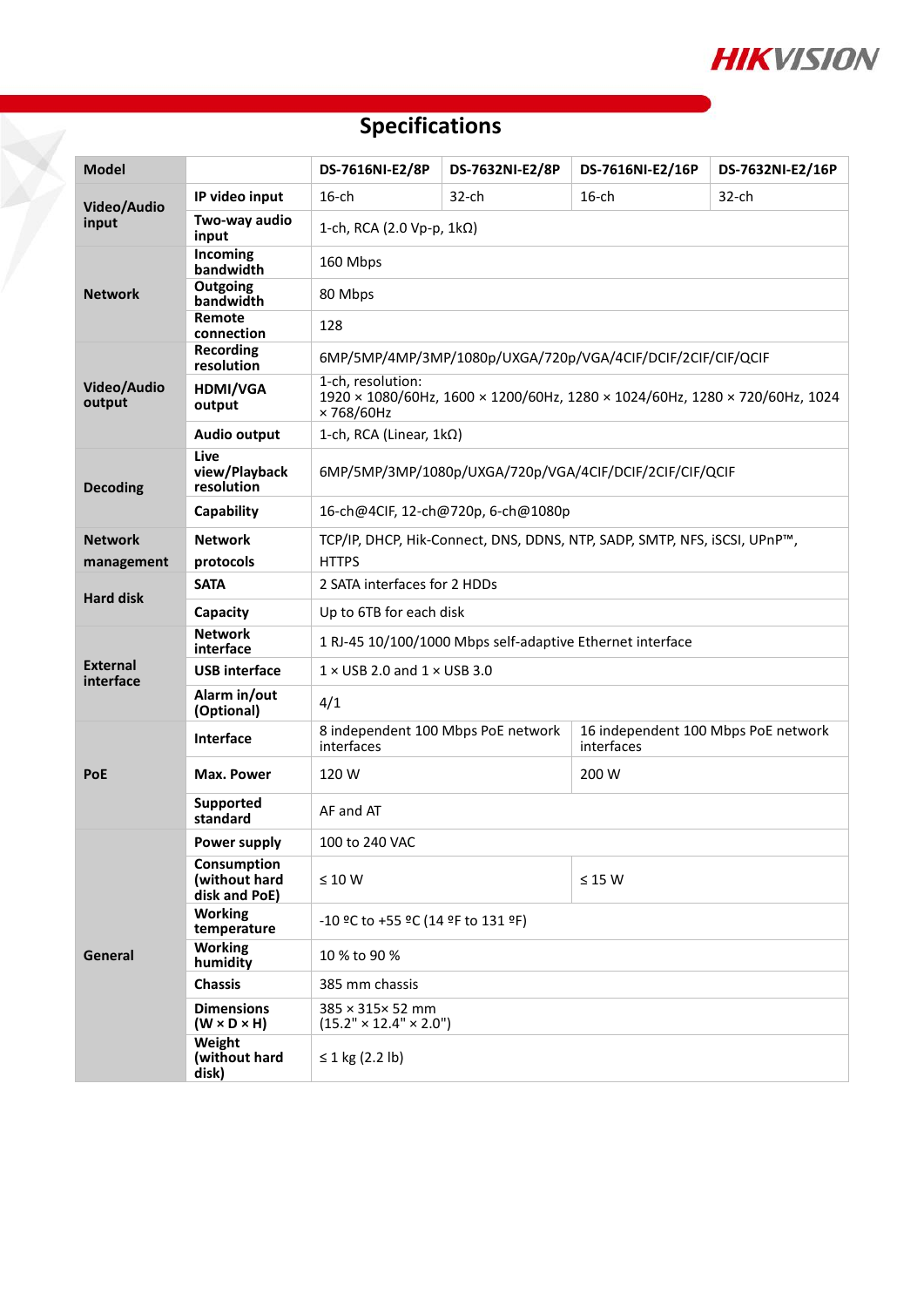

# **Specifications**

H

| <b>Model</b>                 |                                               | DS-7616NI-E2/8P                                                                                               | DS-7632NI-E2/8P | DS-7616NI-E2/16P | DS-7632NI-E2/16P |  |  |  |
|------------------------------|-----------------------------------------------|---------------------------------------------------------------------------------------------------------------|-----------------|------------------|------------------|--|--|--|
| Video/Audio<br>input         | IP video input                                | $16$ -ch                                                                                                      | 32-ch           | $16$ -ch         | $32$ -ch         |  |  |  |
|                              | Two-way audio<br>input                        | 1-ch, RCA (2.0 Vp-p, $1k\Omega$ )                                                                             |                 |                  |                  |  |  |  |
| <b>Network</b>               | Incoming<br>bandwidth                         | 160 Mbps                                                                                                      |                 |                  |                  |  |  |  |
|                              | Outgoing<br>bandwidth                         | 80 Mbps                                                                                                       |                 |                  |                  |  |  |  |
|                              | Remote<br>connection                          | 128                                                                                                           |                 |                  |                  |  |  |  |
| Video/Audio<br>output        | Recording<br>resolution                       | 6MP/5MP/4MP/3MP/1080p/UXGA/720p/VGA/4CIF/DCIF/2CIF/CIF/QCIF                                                   |                 |                  |                  |  |  |  |
|                              | HDMI/VGA<br>output                            | 1-ch, resolution:<br>1920 × 1080/60Hz, 1600 × 1200/60Hz, 1280 × 1024/60Hz, 1280 × 720/60Hz, 1024<br>×768/60Hz |                 |                  |                  |  |  |  |
|                              | <b>Audio output</b>                           | 1-ch, RCA (Linear, 1kΩ)                                                                                       |                 |                  |                  |  |  |  |
| <b>Decoding</b>              | Live<br>view/Playback<br>resolution           | 6MP/5MP/3MP/1080p/UXGA/720p/VGA/4CIF/DCIF/2CIF/CIF/QCIF                                                       |                 |                  |                  |  |  |  |
|                              | Capability                                    | 16-ch@4CIF, 12-ch@720p, 6-ch@1080p                                                                            |                 |                  |                  |  |  |  |
| <b>Network</b>               | <b>Network</b>                                | TCP/IP, DHCP, Hik-Connect, DNS, DDNS, NTP, SADP, SMTP, NFS, iSCSI, UPnP™,                                     |                 |                  |                  |  |  |  |
| management                   | protocols                                     | <b>HTTPS</b>                                                                                                  |                 |                  |                  |  |  |  |
| <b>Hard disk</b>             | <b>SATA</b>                                   | 2 SATA interfaces for 2 HDDs                                                                                  |                 |                  |                  |  |  |  |
|                              | Capacity                                      | Up to 6TB for each disk                                                                                       |                 |                  |                  |  |  |  |
| <b>External</b><br>interface | <b>Network</b><br>interface                   | 1 RJ-45 10/100/1000 Mbps self-adaptive Ethernet interface                                                     |                 |                  |                  |  |  |  |
|                              | <b>USB</b> interface                          | $1 \times$ USB 2.0 and $1 \times$ USB 3.0                                                                     |                 |                  |                  |  |  |  |
|                              | Alarm in/out<br>(Optional)                    | 4/1                                                                                                           |                 |                  |                  |  |  |  |
| <b>PoE</b>                   | <b>Interface</b>                              | 8 independent 100 Mbps PoE network<br>16 independent 100 Mbps PoE network<br>interfaces<br>interfaces         |                 |                  |                  |  |  |  |
|                              | Max. Power                                    | 120 W<br>200 W                                                                                                |                 |                  |                  |  |  |  |
|                              | Supported<br>standard                         | AF and AT                                                                                                     |                 |                  |                  |  |  |  |
| General                      | Power supply                                  | 100 to 240 VAC                                                                                                |                 |                  |                  |  |  |  |
|                              | Consumption<br>(without hard<br>disk and PoE) | $\leq 10 W$<br>$\leq$ 15 W                                                                                    |                 |                  |                  |  |  |  |
|                              | <b>Working</b><br>temperature                 | -10 °C to +55 °C (14 °F to 131 °F)                                                                            |                 |                  |                  |  |  |  |
|                              | <b>Working</b><br>humidity                    | 10 % to 90 %                                                                                                  |                 |                  |                  |  |  |  |
|                              | <b>Chassis</b>                                | 385 mm chassis                                                                                                |                 |                  |                  |  |  |  |
|                              | <b>Dimensions</b><br>$(W \times D \times H)$  | 385 × 315× 52 mm<br>$(15.2" \times 12.4" \times 2.0")$                                                        |                 |                  |                  |  |  |  |
|                              | Weight<br>(without hard<br>disk)              | ≤ 1 kg (2.2 lb)                                                                                               |                 |                  |                  |  |  |  |